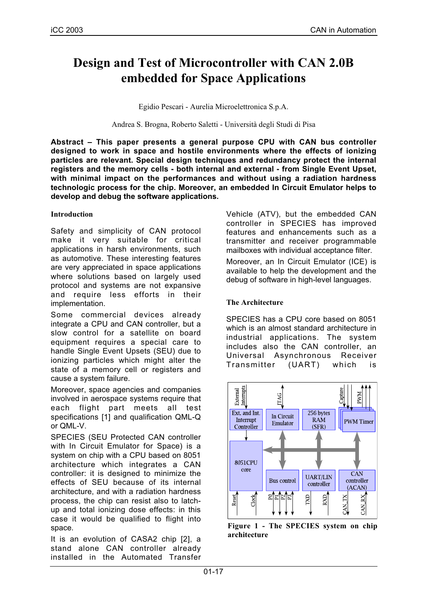# **Design and Test of Microcontroller with CAN 2.0B embedded for Space Applications**

Egidio Pescari - Aurelia Microelettronica S.p.A.

Andrea S. Brogna, Roberto Saletti - Università degli Studi di Pisa

**Abstract – This paper presents a general purpose CPU with CAN bus controller designed to work in space and hostile environments where the effects of ionizing particles are relevant. Special design techniques and redundancy protect the internal registers and the memory cells - both internal and external - from Single Event Upset, with minimal impact on the performances and without using a radiation hardness technologic process for the chip. Moreover, an embedded In Circuit Emulator helps to develop and debug the software applications.**

#### **Introduction**

Safety and simplicity of CAN protocol make it very suitable for critical applications in harsh environments, such as automotive. These interesting features are very appreciated in space applications where solutions based on largely used protocol and systems are not expansive and require less efforts in their implementation.

Some commercial devices already integrate a CPU and CAN controller, but a slow control for a satellite on board equipment requires a special care to handle Single Event Upsets (SEU) due to ionizing particles which might alter the state of a memory cell or registers and cause a system failure.

Moreover, space agencies and companies involved in aerospace systems require that each flight part meets all test specifications [1] and qualification QML-Q or QML-V.

SPECIES (SEU Protected CAN controller with In Circuit Emulator for Space) is a system on chip with a CPU based on 8051 architecture which integrates a CAN controller: it is designed to minimize the effects of SEU because of its internal architecture, and with a radiation hardness process, the chip can resist also to latchup and total ionizing dose effects: in this case it would be qualified to flight into space.

It is an evolution of CASA2 chip [2], a stand alone CAN controller already installed in the Automated Transfer Vehicle (ATV), but the embedded CAN controller in SPECIES has improved features and enhancements such as a transmitter and receiver programmable mailboxes with individual acceptance filter. Moreover, an In Circuit Emulator (ICE) is available to help the development and the debug of software in high-level languages.

# **The Architecture**

SPECIES has a CPU core based on 8051 which is an almost standard architecture in industrial applications. The system includes also the CAN controller, an Universal Asynchronous Receiver Transmitter (UART) which is



**Figure 1 - The SPECIES system on chip architecture**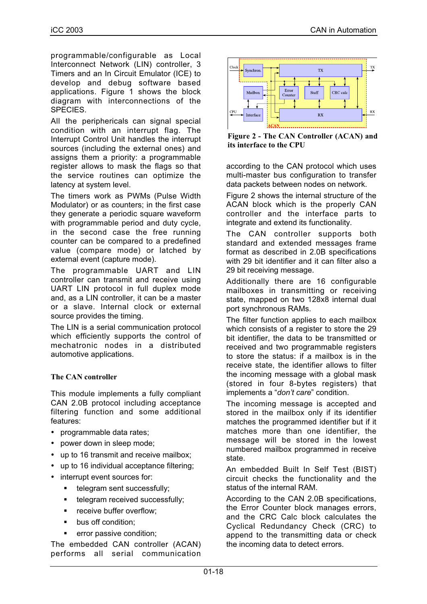programmable/configurable as Local Interconnect Network (LIN) controller, 3 Timers and an In Circuit Emulator (ICE) to develop and debug software based applications. Figure 1 shows the block diagram with interconnections of the SPECIES.

All the periphericals can signal special condition with an interrupt flag. The Interrupt Control Unit handles the interrupt sources (including the external ones) and assigns them a priority: a programmable register allows to mask the flags so that the service routines can optimize the latency at system level.

The timers work as PWMs (Pulse Width Modulator) or as counters; in the first case they generate a periodic square waveform with programmable period and duty cycle, in the second case the free running counter can be compared to a predefined value (compare mode) or latched by external event (capture mode).

The programmable UART and LIN controller can transmit and receive using UART LIN protocol in full duplex mode and, as a LIN controller, it can be a master or a slave. Internal clock or external source provides the timing.

The LIN is a serial communication protocol which efficiently supports the control of mechatronic nodes in a distributed automotive applications.

# **The CAN controller**

This module implements a fully compliant CAN 2.0B protocol including acceptance filtering function and some additional features:

- programmable data rates;
- power down in sleep mode;
- up to 16 transmit and receive mailbox;
- up to 16 individual acceptance filtering;
- interrupt event sources for:
	- **telegram sent successfully;**
	- telegram received successfully;
	- **•** receive buffer overflow;
	- **•** bus off condition;
	- **•** error passive condition;

The embedded CAN controller (ACAN) performs all serial communication



**Figure 2 - The CAN Controller (ACAN) and its interface to the CPU**

according to the CAN protocol which uses multi-master bus configuration to transfer data packets between nodes on network.

Figure 2 shows the internal structure of the ACAN block which is the properly CAN controller and the interface parts to integrate and extend its functionality.

The CAN controller supports both standard and extended messages frame format as described in 2.0B specifications with 29 bit identifier and it can filter also a 29 bit receiving message.

Additionally there are 16 configurable mailboxes in transmitting or receiving state, mapped on two 128x8 internal dual port synchronous RAMs.

The filter function applies to each mailbox which consists of a register to store the 29 bit identifier, the data to be transmitted or received and two programmable registers to store the status: if a mailbox is in the receive state, the identifier allows to filter the incoming message with a global mask (stored in four 8-bytes registers) that implements a "*don't care*" condition.

The incoming message is accepted and stored in the mailbox only if its identifier matches the programmed identifier but if it matches more than one identifier, the message will be stored in the lowest numbered mailbox programmed in receive state.

An embedded Built In Self Test (BIST) circuit checks the functionality and the status of the internal RAM.

According to the CAN 2.0B specifications, the Error Counter block manages errors, and the CRC Calc block calculates the Cyclical Redundancy Check (CRC) to append to the transmitting data or check the incoming data to detect errors.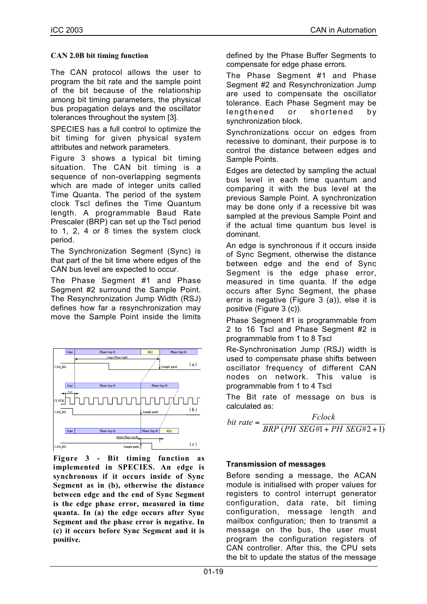### **CAN 2.0B bit timing function**

The CAN protocol allows the user to program the bit rate and the sample point of the bit because of the relationship among bit timing parameters, the physical bus propagation delays and the oscillator tolerances throughout the system [3].

SPECIES has a full control to optimize the bit timing for given physical system attributes and network parameters.

Figure 3 shows a typical bit timing situation. The CAN bit timing is a sequence of non-overlapping segments which are made of integer units called Time Quanta. The period of the system clock Tscl defines the Time Quantum length. A programmable Baud Rate Prescaler (BRP) can set up the Tscl period to 1, 2, 4 or 8 times the system clock period.

The Synchronization Segment (Sync) is that part of the bit time where edges of the CAN bus level are expected to occur.

The Phase Segment #1 and Phase Segment #2 surround the Sample Point. The Resynchronization Jump Width (RSJ) defines how far a resynchronization may move the Sample Point inside the limits



**Figure 3 - Bit timing function as implemented in SPECIES. An edge is synchronous if it occurs inside of Sync Segment as in (b), otherwise the distance between edge and the end of Sync Segment is the edge phase error, measured in time quanta. In (a) the edge occurs after Sync Segment and the phase error is negative. In (c) it occurs before Sync Segment and it is positive.**

defined by the Phase Buffer Segments to compensate for edge phase errors.

The Phase Segment #1 and Phase Segment #2 and Resynchronization Jump are used to compensate the oscillator tolerance. Each Phase Segment may be lengthened or shortened by synchronization block.

Synchronizations occur on edges from recessive to dominant, their purpose is to control the distance between edges and Sample Points.

Edges are detected by sampling the actual bus level in each time quantum and comparing it with the bus level at the previous Sample Point. A synchronization may be done only if a recessive bit was sampled at the previous Sample Point and if the actual time quantum bus level is dominant.

An edge is synchronous if it occurs inside of Sync Segment, otherwise the distance between edge and the end of Sync Segment is the edge phase error, measured in time quanta. If the edge occurs after Sync Segment, the phase error is negative (Figure 3 (a)), else it is positive (Figure 3 (c)).

Phase Segment #1 is programmable from 2 to 16 Tscl and Phase Segment #2 is programmable from 1 to 8 Tscl

Re-Synchronisation Jump (RSJ) width is used to compensate phase shifts between oscillator frequency of different CAN nodes on network. This value is programmable from 1 to 4 Tscl

The Bit rate of message on bus is calculated as:

 $Fclock$ <br> *BRP* (*PH SEG*#1+ *PH SEG*#2+1) *bit rate* =

# **Transmission of messages**

Before sending a message, the ACAN module is initialised with proper values for registers to control interrupt generator configuration, data rate, bit timing configuration, message length and mailbox configuration; then to transmit a message on the bus, the user must program the configuration registers of CAN controller. After this, the CPU sets the bit to update the status of the message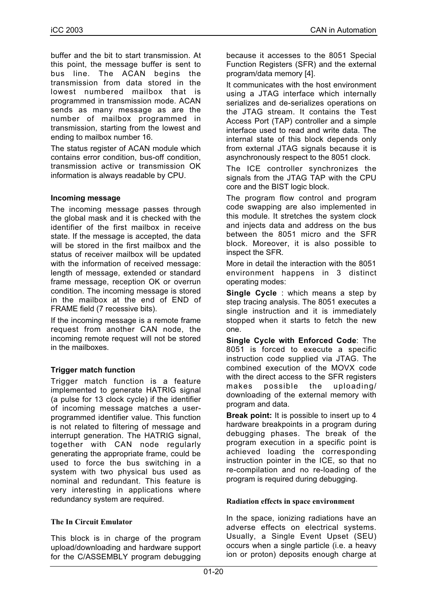buffer and the bit to start transmission. At this point, the message buffer is sent to bus line. The ACAN begins the transmission from data stored in the lowest numbered mailbox that is programmed in transmission mode. ACAN sends as many message as are the number of mailbox programmed in transmission, starting from the lowest and ending to mailbox number 16.

The status register of ACAN module which contains error condition, bus-off condition, transmission active or transmission OK information is always readable by CPU.

### **Incoming message**

The incoming message passes through the global mask and it is checked with the identifier of the first mailbox in receive state. If the message is accepted, the data will be stored in the first mailbox and the status of receiver mailbox will be updated with the information of received message: length of message, extended or standard frame message, reception OK or overrun condition. The incoming message is stored in the mailbox at the end of END of FRAME field (7 recessive bits).

If the incoming message is a remote frame request from another CAN node, the incoming remote request will not be stored in the mailboxes.

# **Trigger match function**

Trigger match function is a feature implemented to generate HATRIG signal (a pulse for 13 clock cycle) if the identifier of incoming message matches a userprogrammed identifier value. This function is not related to filtering of message and interrupt generation. The HATRIG signal, together with CAN node regularly generating the appropriate frame, could be used to force the bus switching in a system with two physical bus used as nominal and redundant. This feature is very interesting in applications where redundancy system are required.

#### **The In Circuit Emulator**

This block is in charge of the program upload/downloading and hardware support for the C/ASSEMBLY program debugging

because it accesses to the 8051 Special Function Registers (SFR) and the external program/data memory [4].

It communicates with the host environment using a JTAG interface which internally serializes and de-serializes operations on the JTAG stream. It contains the Test Access Port (TAP) controller and a simple interface used to read and write data. The internal state of this block depends only from external JTAG signals because it is asynchronously respect to the 8051 clock.

The ICE controller synchronizes the signals from the JTAG TAP with the CPU core and the BIST logic block.

The program flow control and program code swapping are also implemented in this module. It stretches the system clock and injects data and address on the bus between the 8051 micro and the SFR block. Moreover, it is also possible to inspect the SFR.

More in detail the interaction with the 8051 environment happens in 3 distinct operating modes:

**Single Cycle** : which means a step by step tracing analysis. The 8051 executes a single instruction and it is immediately stopped when it starts to fetch the new one.

**Single Cycle with Enforced Code**: The 8051 is forced to execute a specific instruction code supplied via JTAG. The combined execution of the MOVX code with the direct access to the SFR registers makes possible the uploading/ downloading of the external memory with program and data.

**Break point:** It is possible to insert up to 4 hardware breakpoints in a program during debugging phases. The break of the program execution in a specific point is achieved loading the corresponding instruction pointer in the ICE, so that no re-compilation and no re-loading of the program is required during debugging.

# **Radiation effects in space environment**

In the space, ionizing radiations have an adverse effects on electrical systems. Usually, a Single Event Upset (SEU) occurs when a single particle (i.e. a heavy ion or proton) deposits enough charge at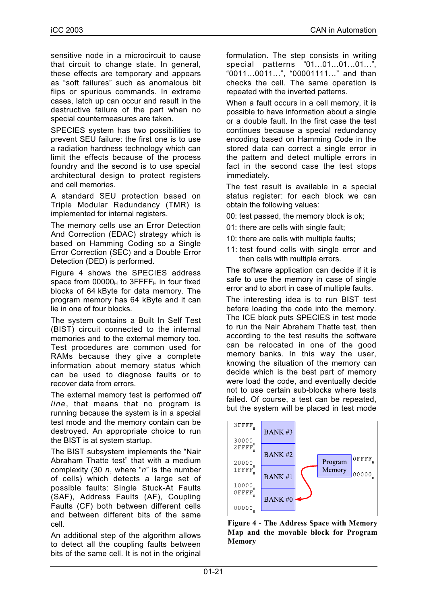sensitive node in a microcircuit to cause that circuit to change state. In general, these effects are temporary and appears as "soft failures" such as anomalous bit flips or spurious commands. In extreme cases, latch up can occur and result in the destructive failure of the part when no special countermeasures are taken.

SPECIES system has two possibilities to prevent SEU failure: the first one is to use a radiation hardness technology which can limit the effects because of the process foundry and the second is to use special architectural design to protect registers and cell memories.

A standard SEU protection based on Triple Modular Redundancy (TMR) is implemented for internal registers.

The memory cells use an Error Detection And Correction (EDAC) strategy which is based on Hamming Coding so a Single Error Correction (SEC) and a Double Error Detection (DED) is performed.

Figure 4 shows the SPECIES address space from  $00000_H$  to  $3$ FFFF<sub>H</sub> in four fixed blocks of 64 kByte for data memory. The program memory has 64 kByte and it can lie in one of four blocks.

The system contains a Built In Self Test (BIST) circuit connected to the internal memories and to the external memory too. Test procedures are common used for RAMs because they give a complete information about memory status which can be used to diagnose faults or to recover data from errors.

The external memory test is performed o*ff line*, that means that no program is running because the system is in a special test mode and the memory contain can be destroyed. An appropriate choice to run the BIST is at system startup.

The BIST subsystem implements the "Nair Abraham Thatte test" that with a medium complexity (30 *n*, where "*n*" is the number of cells) which detects a large set of possible faults: Single Stuck-At Faults (SAF), Address Faults (AF), Coupling Faults (CF) both between different cells and between different bits of the same cell.

An additional step of the algorithm allows to detect all the coupling faults between bits of the same cell. It is not in the original formulation. The step consists in writing special patterns "01…01…01…01…", "0011…0011…", "00001111…" and than checks the cell. The same operation is repeated with the inverted patterns.

When a fault occurs in a cell memory, it is possible to have information about a single or a double fault. In the first case the test continues because a special redundancy encoding based on Hamming Code in the stored data can correct a single error in the pattern and detect multiple errors in fact in the second case the test stops immediately.

The test result is available in a special status register: for each block we can obtain the following values:

00: test passed, the memory block is ok;

01: there are cells with single fault;

- 10: there are cells with multiple faults;
- 11: test found cells with single error and then cells with multiple errors.

The software application can decide if it is safe to use the memory in case of single error and to abort in case of multiple faults.

The interesting idea is to run BIST test before loading the code into the memory. The ICE block puts SPECIES in test mode to run the Nair Abraham Thatte test, then according to the test results the software can be relocated in one of the good memory banks. In this way the user, knowing the situation of the memory can decide which is the best part of memory were load the code, and eventually decide not to use certain sub-blocks where tests failed. Of course, a test can be repeated, but the system will be placed in test mode



**Figure 4 - The Address Space with Memory Map and the movable block for Program Memory**